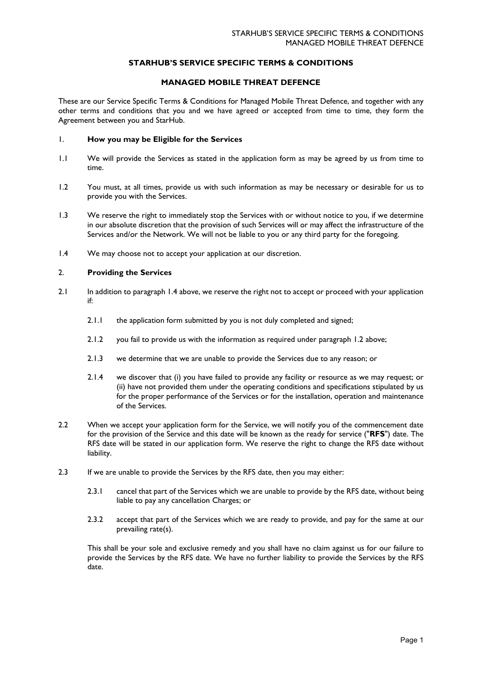# **STARHUB'S SERVICE SPECIFIC TERMS & CONDITIONS**

# **MANAGED MOBILE THREAT DEFENCE**

These are our Service Specific Terms & Conditions for Managed Mobile Threat Defence, and together with any other terms and conditions that you and we have agreed or accepted from time to time, they form the Agreement between you and StarHub.

### 1. **How you may be Eligible for the Services**

- 1.1 We will provide the Services as stated in the application form as may be agreed by us from time to time.
- <span id="page-0-1"></span>1.2 You must, at all times, provide us with such information as may be necessary or desirable for us to provide you with the Services.
- 1.3 We reserve the right to immediately stop the Services with or without notice to you, if we determine in our absolute discretion that the provision of such Services will or may affect the infrastructure of the Services and/or the Network. We will not be liable to you or any third party for the foregoing.
- <span id="page-0-0"></span>1.4 We may choose not to accept your application at our discretion.

# 2. **Providing the Services**

- 2.1 In addition to paragraph [1.4](#page-0-0) above, we reserve the right not to accept or proceed with your application if:
	- 2.1.1 the application form submitted by you is not duly completed and signed;
	- 2.1.2 you fail to provide us with the information as required under paragraph [1.2](#page-0-1) above;
	- 2.1.3 we determine that we are unable to provide the Services due to any reason; or
	- 2.1.4 we discover that (i) you have failed to provide any facility or resource as we may request; or (ii) have not provided them under the operating conditions and specifications stipulated by us for the proper performance of the Services or for the installation, operation and maintenance of the Services.
- 2.2 When we accept your application form for the Service, we will notify you of the commencement date for the provision of the Service and this date will be known as the ready for service ("**RFS**") date. The RFS date will be stated in our application form. We reserve the right to change the RFS date without liability.
- 2.3 If we are unable to provide the Services by the RFS date, then you may either:
	- 2.3.1 cancel that part of the Services which we are unable to provide by the RFS date, without being liable to pay any cancellation Charges; or
	- 2.3.2 accept that part of the Services which we are ready to provide, and pay for the same at our prevailing rate(s).

This shall be your sole and exclusive remedy and you shall have no claim against us for our failure to provide the Services by the RFS date. We have no further liability to provide the Services by the RFS date.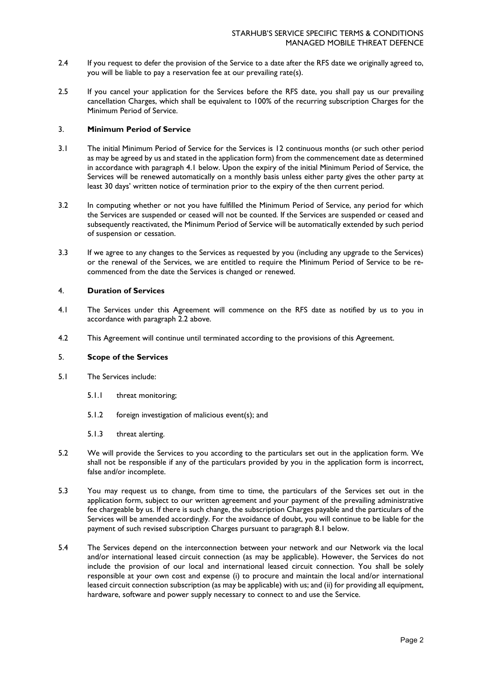- 2.4 If you request to defer the provision of the Service to a date after the RFS date we originally agreed to, you will be liable to pay a reservation fee at our prevailing rate(s).
- 2.5 If you cancel your application for the Services before the RFS date, you shall pay us our prevailing cancellation Charges, which shall be equivalent to 100% of the recurring subscription Charges for the Minimum Period of Service.

### 3. **Minimum Period of Service**

- 3.1 The initial Minimum Period of Service for the Services is 12 continuous months (or such other period as may be agreed by us and stated in the application form) from the commencement date as determined in accordance with paragraph 4.1 below. Upon the expiry of the initial Minimum Period of Service, the Services will be renewed automatically on a monthly basis unless either party gives the other party at least 30 days' written notice of termination prior to the expiry of the then current period.
- 3.2 In computing whether or not you have fulfilled the Minimum Period of Service, any period for which the Services are suspended or ceased will not be counted. If the Services are suspended or ceased and subsequently reactivated, the Minimum Period of Service will be automatically extended by such period of suspension or cessation.
- 3.3 If we agree to any changes to the Services as requested by you (including any upgrade to the Services) or the renewal of the Services, we are entitled to require the Minimum Period of Service to be recommenced from the date the Services is changed or renewed.

### 4. **Duration of Services**

- 4.1 The Services under this Agreement will commence on the RFS date as notified by us to you in accordance with paragraph 2.2 above.
- 4.2 This Agreement will continue until terminated according to the provisions of this Agreement.

# 5. **Scope of the Services**

- 5.1 The Services include:
	- 5.1.1 threat monitoring;
	- 5.1.2 foreign investigation of malicious event(s); and
	- 5.1.3 threat alerting.
- 5.2 We will provide the Services to you according to the particulars set out in the application form. We shall not be responsible if any of the particulars provided by you in the application form is incorrect, false and/or incomplete.
- 5.3 You may request us to change, from time to time, the particulars of the Services set out in the application form, subject to our written agreement and your payment of the prevailing administrative fee chargeable by us. If there is such change, the subscription Charges payable and the particulars of the Services will be amended accordingly. For the avoidance of doubt, you will continue to be liable for the payment of such revised subscription Charges pursuant to paragraph 8.1 below.
- 5.4 The Services depend on the interconnection between your network and our Network via the local and/or international leased circuit connection (as may be applicable). However, the Services do not include the provision of our local and international leased circuit connection. You shall be solely responsible at your own cost and expense (i) to procure and maintain the local and/or international leased circuit connection subscription (as may be applicable) with us; and (ii) for providing all equipment, hardware, software and power supply necessary to connect to and use the Service.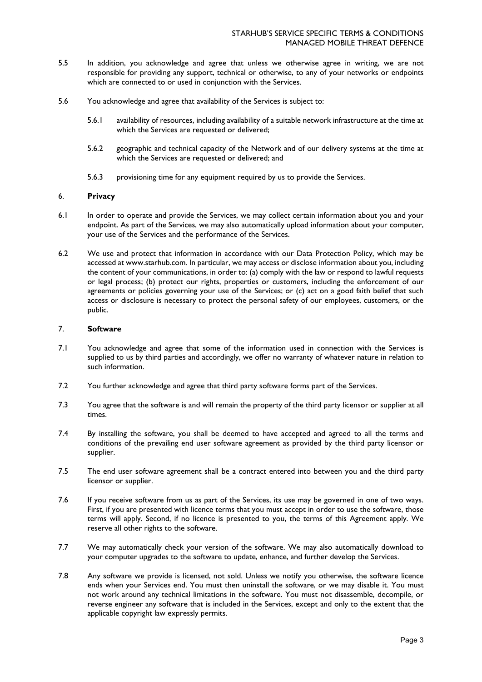- 5.5 In addition, you acknowledge and agree that unless we otherwise agree in writing, we are not responsible for providing any support, technical or otherwise, to any of your networks or endpoints which are connected to or used in conjunction with the Services.
- 5.6 You acknowledge and agree that availability of the Services is subject to:
	- 5.6.1 availability of resources, including availability of a suitable network infrastructure at the time at which the Services are requested or delivered;
	- 5.6.2 geographic and technical capacity of the Network and of our delivery systems at the time at which the Services are requested or delivered; and
	- 5.6.3 provisioning time for any equipment required by us to provide the Services.

### 6. **Privacy**

- 6.1 In order to operate and provide the Services, we may collect certain information about you and your endpoint. As part of the Services, we may also automatically upload information about your computer, your use of the Services and the performance of the Services.
- 6.2 We use and protect that information in accordance with our Data Protection Policy, which may be accessed at www.starhub.com. In particular, we may access or disclose information about you, including the content of your communications, in order to: (a) comply with the law or respond to lawful requests or legal process; (b) protect our rights, properties or customers, including the enforcement of our agreements or policies governing your use of the Services; or (c) act on a good faith belief that such access or disclosure is necessary to protect the personal safety of our employees, customers, or the public.

# 7. **Software**

- 7.1 You acknowledge and agree that some of the information used in connection with the Services is supplied to us by third parties and accordingly, we offer no warranty of whatever nature in relation to such information.
- 7.2 You further acknowledge and agree that third party software forms part of the Services.
- 7.3 You agree that the software is and will remain the property of the third party licensor or supplier at all times.
- 7.4 By installing the software, you shall be deemed to have accepted and agreed to all the terms and conditions of the prevailing end user software agreement as provided by the third party licensor or supplier.
- 7.5 The end user software agreement shall be a contract entered into between you and the third party licensor or supplier.
- 7.6 If you receive software from us as part of the Services, its use may be governed in one of two ways. First, if you are presented with licence terms that you must accept in order to use the software, those terms will apply. Second, if no licence is presented to you, the terms of this Agreement apply. We reserve all other rights to the software.
- 7.7 We may automatically check your version of the software. We may also automatically download to your computer upgrades to the software to update, enhance, and further develop the Services.
- 7.8 Any software we provide is licensed, not sold. Unless we notify you otherwise, the software licence ends when your Services end. You must then uninstall the software, or we may disable it. You must not work around any technical limitations in the software. You must not disassemble, decompile, or reverse engineer any software that is included in the Services, except and only to the extent that the applicable copyright law expressly permits.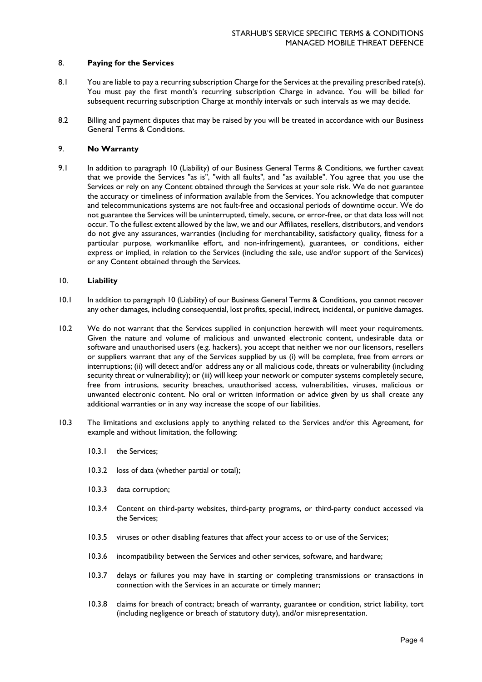### 8. **Paying for the Services**

- 8.1 You are liable to pay a recurring subscription Charge for the Services at the prevailing prescribed rate(s). You must pay the first month's recurring subscription Charge in advance. You will be billed for subsequent recurring subscription Charge at monthly intervals or such intervals as we may decide.
- 8.2 Billing and payment disputes that may be raised by you will be treated in accordance with our Business General Terms & Conditions.

# 9. **No Warranty**

9.1 In addition to paragraph 10 (Liability) of our Business General Terms & Conditions, we further caveat that we provide the Services "as is", "with all faults", and "as available". You agree that you use the Services or rely on any Content obtained through the Services at your sole risk. We do not guarantee the accuracy or timeliness of information available from the Services. You acknowledge that computer and telecommunications systems are not fault-free and occasional periods of downtime occur. We do not guarantee the Services will be uninterrupted, timely, secure, or error-free, or that data loss will not occur. To the fullest extent allowed by the law, we and our Affiliates, resellers, distributors, and vendors do not give any assurances, warranties (including for merchantability, satisfactory quality, fitness for a particular purpose, workmanlike effort, and non-infringement), guarantees, or conditions, either express or implied, in relation to the Services (including the sale, use and/or support of the Services) or any Content obtained through the Services.

# 10. **Liability**

- 10.1 In addition to paragraph 10 (Liability) of our Business General Terms & Conditions, you cannot recover any other damages, including consequential, lost profits, special, indirect, incidental, or punitive damages.
- 10.2 We do not warrant that the Services supplied in conjunction herewith will meet your requirements. Given the nature and volume of malicious and unwanted electronic content, undesirable data or software and unauthorised users (e.g. hackers), you accept that neither we nor our licensors, resellers or suppliers warrant that any of the Services supplied by us (i) will be complete, free from errors or interruptions; (ii) will detect and/or address any or all malicious code, threats or vulnerability (including security threat or vulnerability); or (iii) will keep your network or computer systems completely secure, free from intrusions, security breaches, unauthorised access, vulnerabilities, viruses, malicious or unwanted electronic content. No oral or written information or advice given by us shall create any additional warranties or in any way increase the scope of our liabilities.
- 10.3 The limitations and exclusions apply to anything related to the Services and/or this Agreement, for example and without limitation, the following:
	- 10.3.1 the Services;
	- 10.3.2 loss of data (whether partial or total);
	- 10.3.3 data corruption;
	- 10.3.4 Content on third-party websites, third-party programs, or third-party conduct accessed via the Services;
	- 10.3.5 viruses or other disabling features that affect your access to or use of the Services;
	- 10.3.6 incompatibility between the Services and other services, software, and hardware;
	- 10.3.7 delays or failures you may have in starting or completing transmissions or transactions in connection with the Services in an accurate or timely manner;
	- 10.3.8 claims for breach of contract; breach of warranty, guarantee or condition, strict liability, tort (including negligence or breach of statutory duty), and/or misrepresentation.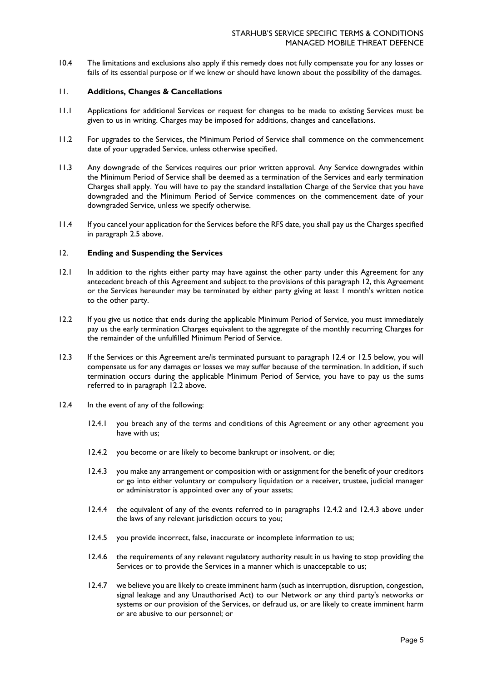10.4 The limitations and exclusions also apply if this remedy does not fully compensate you for any losses or fails of its essential purpose or if we knew or should have known about the possibility of the damages.

### 11. **Additions, Changes & Cancellations**

- 11.1 Applications for additional Services or request for changes to be made to existing Services must be given to us in writing. Charges may be imposed for additions, changes and cancellations.
- 11.2 For upgrades to the Services, the Minimum Period of Service shall commence on the commencement date of your upgraded Service, unless otherwise specified.
- 11.3 Any downgrade of the Services requires our prior written approval. Any Service downgrades within the Minimum Period of Service shall be deemed as a termination of the Services and early termination Charges shall apply. You will have to pay the standard installation Charge of the Service that you have downgraded and the Minimum Period of Service commences on the commencement date of your downgraded Service, unless we specify otherwise.
- 11.4 If you cancel your application for the Services before the RFS date, you shall pay us the Charges specified in paragraph 2.5 above.

### 12. **Ending and Suspending the Services**

- 12.1 In addition to the rights either party may have against the other party under this Agreement for any antecedent breach of this Agreement and subject to the provisions of this paragraph 12, this Agreement or the Services hereunder may be terminated by either party giving at least 1 month's written notice to the other party.
- 12.2 If you give us notice that ends during the applicable Minimum Period of Service, you must immediately pay us the early termination Charges equivalent to the aggregate of the monthly recurring Charges for the remainder of the unfulfilled Minimum Period of Service.
- 12.3 If the Services or this Agreement are/is terminated pursuant to paragraph 12.4 or 12.5 below, you will compensate us for any damages or losses we may suffer because of the termination. In addition, if such termination occurs during the applicable Minimum Period of Service, you have to pay us the sums referred to in paragraph 12.2 above.
- 12.4 In the event of any of the following:
	- 12.4.1 you breach any of the terms and conditions of this Agreement or any other agreement you have with us;
	- 12.4.2 you become or are likely to become bankrupt or insolvent, or die;
	- 12.4.3 you make any arrangement or composition with or assignment for the benefit of your creditors or go into either voluntary or compulsory liquidation or a receiver, trustee, judicial manager or administrator is appointed over any of your assets;
	- 12.4.4 the equivalent of any of the events referred to in paragraphs 12.4.2 and 12.4.3 above under the laws of any relevant jurisdiction occurs to you;
	- 12.4.5 you provide incorrect, false, inaccurate or incomplete information to us;
	- 12.4.6 the requirements of any relevant regulatory authority result in us having to stop providing the Services or to provide the Services in a manner which is unacceptable to us;
	- 12.4.7 we believe you are likely to create imminent harm (such as interruption, disruption, congestion, signal leakage and any Unauthorised Act) to our Network or any third party's networks or systems or our provision of the Services, or defraud us, or are likely to create imminent harm or are abusive to our personnel; or